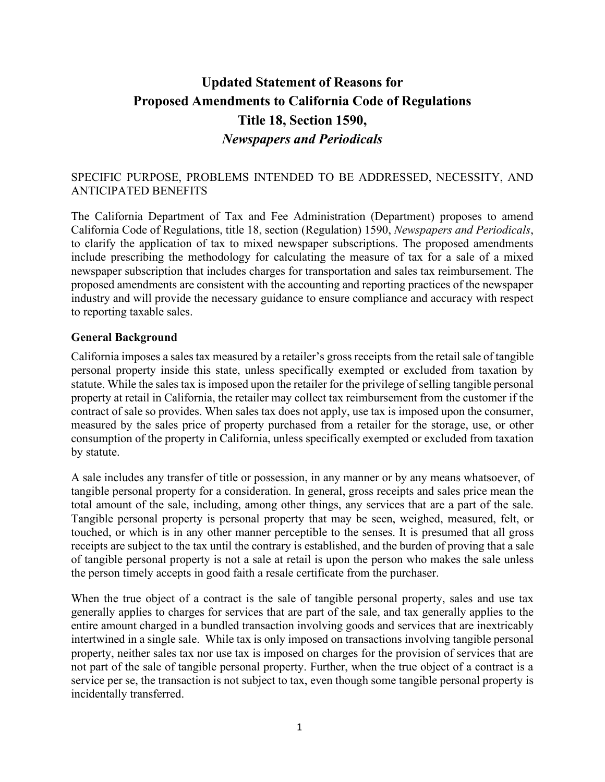# **Updated Statement of Reasons for Proposed Amendments to California Code of Regulations Title 18, Section 1590,** *Newspapers and Periodicals*

### SPECIFIC PURPOSE, PROBLEMS INTENDED TO BE ADDRESSED, NECESSITY, AND ANTICIPATED BENEFITS

The California Department of Tax and Fee Administration (Department) proposes to amend California Code of Regulations, title 18, section (Regulation) 1590, *Newspapers and Periodicals*, to clarify the application of tax to mixed newspaper subscriptions. The proposed amendments include prescribing the methodology for calculating the measure of tax for a sale of a mixed newspaper subscription that includes charges for transportation and sales tax reimbursement. The proposed amendments are consistent with the accounting and reporting practices of the newspaper industry and will provide the necessary guidance to ensure compliance and accuracy with respect to reporting taxable sales.

#### **General Background**

California imposes a sales tax measured by a retailer's gross receipts from the retail sale of tangible personal property inside this state, unless specifically exempted or excluded from taxation by statute. While the sales tax is imposed upon the retailer for the privilege of selling tangible personal property at retail in California, the retailer may collect tax reimbursement from the customer if the contract of sale so provides. When sales tax does not apply, use tax is imposed upon the consumer, measured by the sales price of property purchased from a retailer for the storage, use, or other consumption of the property in California, unless specifically exempted or excluded from taxation by statute.

A sale includes any transfer of title or possession, in any manner or by any means whatsoever, of tangible personal property for a consideration. In general, gross receipts and sales price mean the total amount of the sale, including, among other things, any services that are a part of the sale. Tangible personal property is personal property that may be seen, weighed, measured, felt, or touched, or which is in any other manner perceptible to the senses. It is presumed that all gross receipts are subject to the tax until the contrary is established, and the burden of proving that a sale of tangible personal property is not a sale at retail is upon the person who makes the sale unless the person timely accepts in good faith a resale certificate from the purchaser.

When the true object of a contract is the sale of tangible personal property, sales and use tax generally applies to charges for services that are part of the sale, and tax generally applies to the entire amount charged in a bundled transaction involving goods and services that are inextricably intertwined in a single sale. While tax is only imposed on transactions involving tangible personal property, neither sales tax nor use tax is imposed on charges for the provision of services that are not part of the sale of tangible personal property. Further, when the true object of a contract is a service per se, the transaction is not subject to tax, even though some tangible personal property is incidentally transferred.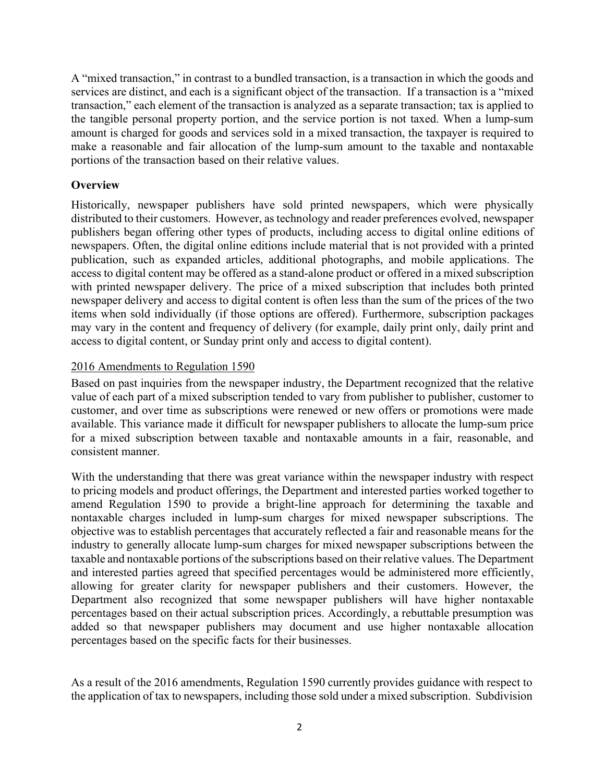A "mixed transaction," in contrast to a bundled transaction, is a transaction in which the goods and services are distinct, and each is a significant object of the transaction. If a transaction is a "mixed transaction," each element of the transaction is analyzed as a separate transaction; tax is applied to the tangible personal property portion, and the service portion is not taxed. When a lump-sum amount is charged for goods and services sold in a mixed transaction, the taxpayer is required to make a reasonable and fair allocation of the lump-sum amount to the taxable and nontaxable portions of the transaction based on their relative values.

## **Overview**

Historically, newspaper publishers have sold printed newspapers, which were physically distributed to their customers. However, as technology and reader preferences evolved, newspaper publishers began offering other types of products, including access to digital online editions of newspapers. Often, the digital online editions include material that is not provided with a printed publication, such as expanded articles, additional photographs, and mobile applications. The access to digital content may be offered as a stand-alone product or offered in a mixed subscription with printed newspaper delivery. The price of a mixed subscription that includes both printed newspaper delivery and access to digital content is often less than the sum of the prices of the two items when sold individually (if those options are offered). Furthermore, subscription packages may vary in the content and frequency of delivery (for example, daily print only, daily print and access to digital content, or Sunday print only and access to digital content).

## 2016 Amendments to Regulation 1590

Based on past inquiries from the newspaper industry, the Department recognized that the relative value of each part of a mixed subscription tended to vary from publisher to publisher, customer to customer, and over time as subscriptions were renewed or new offers or promotions were made available. This variance made it difficult for newspaper publishers to allocate the lump-sum price for a mixed subscription between taxable and nontaxable amounts in a fair, reasonable, and consistent manner.

With the understanding that there was great variance within the newspaper industry with respect to pricing models and product offerings, the Department and interested parties worked together to amend Regulation 1590 to provide a bright-line approach for determining the taxable and nontaxable charges included in lump-sum charges for mixed newspaper subscriptions. The objective was to establish percentages that accurately reflected a fair and reasonable means for the industry to generally allocate lump-sum charges for mixed newspaper subscriptions between the taxable and nontaxable portions of the subscriptions based on their relative values. The Department and interested parties agreed that specified percentages would be administered more efficiently, allowing for greater clarity for newspaper publishers and their customers. However, the Department also recognized that some newspaper publishers will have higher nontaxable percentages based on their actual subscription prices. Accordingly, a rebuttable presumption was added so that newspaper publishers may document and use higher nontaxable allocation percentages based on the specific facts for their businesses.

As a result of the 2016 amendments, Regulation 1590 currently provides guidance with respect to the application of tax to newspapers, including those sold under a mixed subscription. Subdivision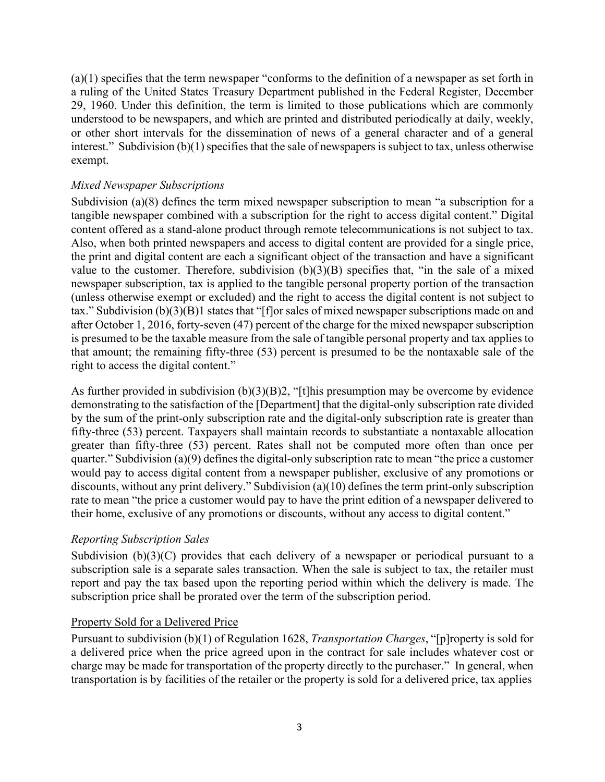(a)(1) specifies that the term newspaper "conforms to the definition of a newspaper as set forth in a ruling of the United States Treasury Department published in the Federal Register, December 29, 1960. Under this definition, the term is limited to those publications which are commonly understood to be newspapers, and which are printed and distributed periodically at daily, weekly, or other short intervals for the dissemination of news of a general character and of a general interest." Subdivision  $(b)(1)$  specifies that the sale of newspapers is subject to tax, unless otherwise exempt.

#### *Mixed Newspaper Subscriptions*

Subdivision (a)(8) defines the term mixed newspaper subscription to mean "a subscription for a tangible newspaper combined with a subscription for the right to access digital content." Digital content offered as a stand-alone product through remote telecommunications is not subject to tax. Also, when both printed newspapers and access to digital content are provided for a single price, the print and digital content are each a significant object of the transaction and have a significant value to the customer. Therefore, subdivision  $(b)(3)(B)$  specifies that, "in the sale of a mixed newspaper subscription, tax is applied to the tangible personal property portion of the transaction (unless otherwise exempt or excluded) and the right to access the digital content is not subject to tax." Subdivision (b)(3)(B)1 states that "[f]or sales of mixed newspaper subscriptions made on and after October 1, 2016, forty-seven (47) percent of the charge for the mixed newspaper subscription is presumed to be the taxable measure from the sale of tangible personal property and tax applies to that amount; the remaining fifty-three (53) percent is presumed to be the nontaxable sale of the right to access the digital content."

As further provided in subdivision (b)(3)(B)2, "[t]his presumption may be overcome by evidence demonstrating to the satisfaction of the [Department] that the digital-only subscription rate divided by the sum of the print-only subscription rate and the digital-only subscription rate is greater than fifty-three (53) percent. Taxpayers shall maintain records to substantiate a nontaxable allocation greater than fifty-three (53) percent. Rates shall not be computed more often than once per quarter." Subdivision (a)(9) defines the digital-only subscription rate to mean "the price a customer would pay to access digital content from a newspaper publisher, exclusive of any promotions or discounts, without any print delivery." Subdivision (a)(10) defines the term print-only subscription rate to mean "the price a customer would pay to have the print edition of a newspaper delivered to their home, exclusive of any promotions or discounts, without any access to digital content."

#### *Reporting Subscription Sales*

Subdivision (b)(3)(C) provides that each delivery of a newspaper or periodical pursuant to a subscription sale is a separate sales transaction. When the sale is subject to tax, the retailer must report and pay the tax based upon the reporting period within which the delivery is made. The subscription price shall be prorated over the term of the subscription period.

#### Property Sold for a Delivered Price

Pursuant to subdivision (b)(1) of Regulation 1628, *Transportation Charges*, "[p]roperty is sold for a delivered price when the price agreed upon in the contract for sale includes whatever cost or charge may be made for transportation of the property directly to the purchaser." In general, when transportation is by facilities of the retailer or the property is sold for a delivered price, tax applies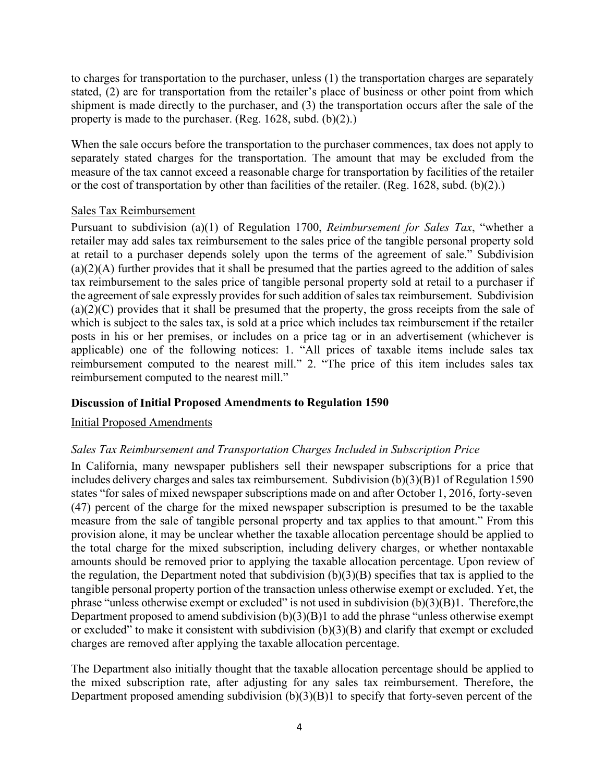to charges for transportation to the purchaser, unless (1) the transportation charges are separately stated, (2) are for transportation from the retailer's place of business or other point from which shipment is made directly to the purchaser, and (3) the transportation occurs after the sale of the property is made to the purchaser. (Reg. 1628, subd. (b)(2).)

When the sale occurs before the transportation to the purchaser commences, tax does not apply to separately stated charges for the transportation. The amount that may be excluded from the measure of the tax cannot exceed a reasonable charge for transportation by facilities of the retailer or the cost of transportation by other than facilities of the retailer. (Reg. 1628, subd. (b)(2).)

#### Sales Tax Reimbursement

Pursuant to subdivision (a)(1) of Regulation 1700, *Reimbursement for Sales Tax*, "whether a retailer may add sales tax reimbursement to the sales price of the tangible personal property sold at retail to a purchaser depends solely upon the terms of the agreement of sale." Subdivision  $(a)(2)(A)$  further provides that it shall be presumed that the parties agreed to the addition of sales tax reimbursement to the sales price of tangible personal property sold at retail to a purchaser if the agreement of sale expressly provides for such addition of sales tax reimbursement. Subdivision  $(a)(2)(C)$  provides that it shall be presumed that the property, the gross receipts from the sale of which is subject to the sales tax, is sold at a price which includes tax reimbursement if the retailer posts in his or her premises, or includes on a price tag or in an advertisement (whichever is applicable) one of the following notices: 1. "All prices of taxable items include sales tax reimbursement computed to the nearest mill." 2. "The price of this item includes sales tax reimbursement computed to the nearest mill."

## **Discussion of Initial Proposed Amendments to Regulation 1590**

## Initial Proposed Amendments

## *Sales Tax Reimbursement and Transportation Charges Included in Subscription Price*

In California, many newspaper publishers sell their newspaper subscriptions for a price that includes delivery charges and sales tax reimbursement. Subdivision (b)(3)(B)1 of Regulation 1590 states "for sales of mixed newspaper subscriptions made on and after October 1, 2016, forty-seven (47) percent of the charge for the mixed newspaper subscription is presumed to be the taxable measure from the sale of tangible personal property and tax applies to that amount." From this provision alone, it may be unclear whether the taxable allocation percentage should be applied to the total charge for the mixed subscription, including delivery charges, or whether nontaxable amounts should be removed prior to applying the taxable allocation percentage. Upon review of the regulation, the Department noted that subdivision  $(b)(3)(B)$  specifies that tax is applied to the tangible personal property portion of the transaction unless otherwise exempt or excluded. Yet, the phrase "unless otherwise exempt or excluded" is not used in subdivision  $(b)(3)(B)1$ . Therefore, the Department proposed to amend subdivision  $(b)(3)(B)1$  to add the phrase "unless otherwise exempt" or excluded" to make it consistent with subdivision (b)(3)(B) and clarify that exempt or excluded charges are removed after applying the taxable allocation percentage.

The Department also initially thought that the taxable allocation percentage should be applied to the mixed subscription rate, after adjusting for any sales tax reimbursement. Therefore, the Department proposed amending subdivision  $(b)(3)(B)1$  to specify that forty-seven percent of the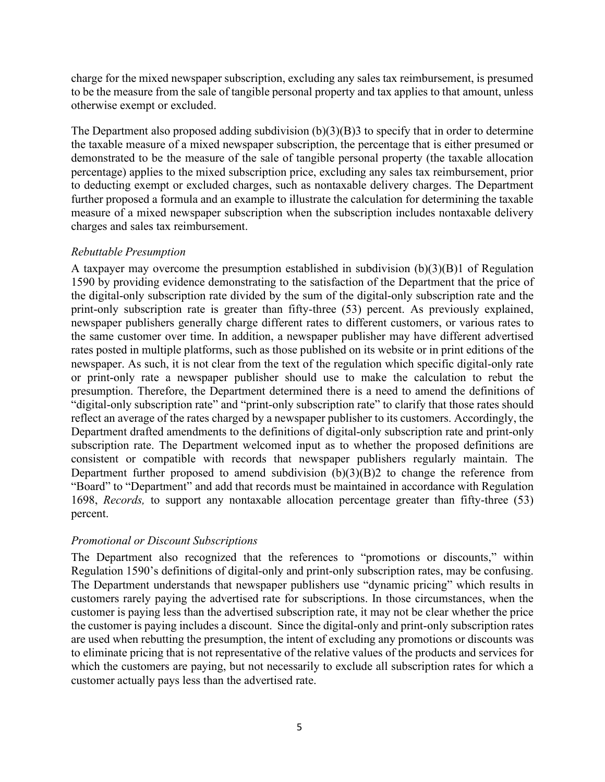charge for the mixed newspaper subscription, excluding any sales tax reimbursement, is presumed to be the measure from the sale of tangible personal property and tax applies to that amount, unless otherwise exempt or excluded.

The Department also proposed adding subdivision  $(b)(3)(B)$ 3 to specify that in order to determine the taxable measure of a mixed newspaper subscription, the percentage that is either presumed or demonstrated to be the measure of the sale of tangible personal property (the taxable allocation percentage) applies to the mixed subscription price, excluding any sales tax reimbursement, prior to deducting exempt or excluded charges, such as nontaxable delivery charges. The Department further proposed a formula and an example to illustrate the calculation for determining the taxable measure of a mixed newspaper subscription when the subscription includes nontaxable delivery charges and sales tax reimbursement.

#### *Rebuttable Presumption*

A taxpayer may overcome the presumption established in subdivision  $(b)(3)(B)$  of Regulation 1590 by providing evidence demonstrating to the satisfaction of the Department that the price of the digital-only subscription rate divided by the sum of the digital-only subscription rate and the print-only subscription rate is greater than fifty-three (53) percent. As previously explained, newspaper publishers generally charge different rates to different customers, or various rates to the same customer over time. In addition, a newspaper publisher may have different advertised rates posted in multiple platforms, such as those published on its website or in print editions of the newspaper. As such, it is not clear from the text of the regulation which specific digital-only rate or print-only rate a newspaper publisher should use to make the calculation to rebut the presumption. Therefore, the Department determined there is a need to amend the definitions of "digital-only subscription rate" and "print-only subscription rate" to clarify that those rates should reflect an average of the rates charged by a newspaper publisher to its customers. Accordingly, the Department drafted amendments to the definitions of digital-only subscription rate and print-only subscription rate. The Department welcomed input as to whether the proposed definitions are consistent or compatible with records that newspaper publishers regularly maintain. The Department further proposed to amend subdivision  $(b)(3)(B)2$  to change the reference from "Board" to "Department" and add that records must be maintained in accordance with Regulation 1698, *Records,* to support any nontaxable allocation percentage greater than fifty-three (53) percent.

## *Promotional or Discount Subscriptions*

The Department also recognized that the references to "promotions or discounts," within Regulation 1590's definitions of digital-only and print-only subscription rates, may be confusing. The Department understands that newspaper publishers use "dynamic pricing" which results in customers rarely paying the advertised rate for subscriptions. In those circumstances, when the customer is paying less than the advertised subscription rate, it may not be clear whether the price the customer is paying includes a discount. Since the digital-only and print-only subscription rates are used when rebutting the presumption, the intent of excluding any promotions or discounts was to eliminate pricing that is not representative of the relative values of the products and services for which the customers are paying, but not necessarily to exclude all subscription rates for which a customer actually pays less than the advertised rate.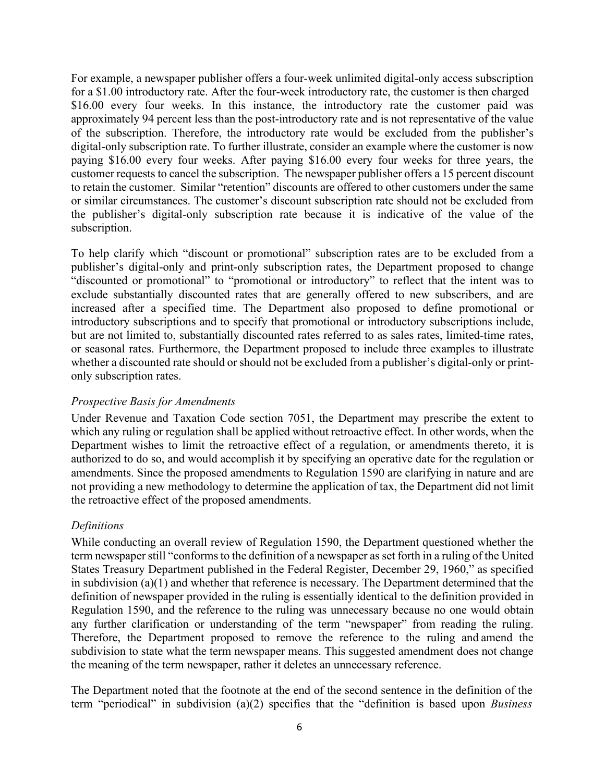For example, a newspaper publisher offers a four-week unlimited digital-only access subscription for a \$1.00 introductory rate. After the four-week introductory rate, the customer is then charged \$16.00 every four weeks. In this instance, the introductory rate the customer paid was approximately 94 percent less than the post-introductory rate and is not representative of the value of the subscription. Therefore, the introductory rate would be excluded from the publisher's digital-only subscription rate. To further illustrate, consider an example where the customer is now paying \$16.00 every four weeks. After paying \$16.00 every four weeks for three years, the customer requests to cancel the subscription. The newspaper publisher offers a 15 percent discount to retain the customer. Similar "retention" discounts are offered to other customers under the same or similar circumstances. The customer's discount subscription rate should not be excluded from the publisher's digital-only subscription rate because it is indicative of the value of the subscription.

To help clarify which "discount or promotional" subscription rates are to be excluded from a publisher's digital-only and print-only subscription rates, the Department proposed to change "discounted or promotional" to "promotional or introductory" to reflect that the intent was to exclude substantially discounted rates that are generally offered to new subscribers, and are increased after a specified time. The Department also proposed to define promotional or introductory subscriptions and to specify that promotional or introductory subscriptions include, but are not limited to, substantially discounted rates referred to as sales rates, limited-time rates, or seasonal rates. Furthermore, the Department proposed to include three examples to illustrate whether a discounted rate should or should not be excluded from a publisher's digital-only or printonly subscription rates.

#### *Prospective Basis for Amendments*

Under Revenue and Taxation Code section 7051, the Department may prescribe the extent to which any ruling or regulation shall be applied without retroactive effect. In other words, when the Department wishes to limit the retroactive effect of a regulation, or amendments thereto, it is authorized to do so, and would accomplish it by specifying an operative date for the regulation or amendments. Since the proposed amendments to Regulation 1590 are clarifying in nature and are not providing a new methodology to determine the application of tax, the Department did not limit the retroactive effect of the proposed amendments.

#### *Definitions*

While conducting an overall review of Regulation 1590, the Department questioned whether the term newspaper still "conforms to the definition of a newspaper as set forth in a ruling of the United States Treasury Department published in the Federal Register, December 29, 1960," as specified in subdivision (a)(1) and whether that reference is necessary. The Department determined that the definition of newspaper provided in the ruling is essentially identical to the definition provided in Regulation 1590, and the reference to the ruling was unnecessary because no one would obtain any further clarification or understanding of the term "newspaper" from reading the ruling. Therefore, the Department proposed to remove the reference to the ruling and amend the subdivision to state what the term newspaper means. This suggested amendment does not change the meaning of the term newspaper, rather it deletes an unnecessary reference.

The Department noted that the footnote at the end of the second sentence in the definition of the term "periodical" in subdivision (a)(2) specifies that the "definition is based upon *Business*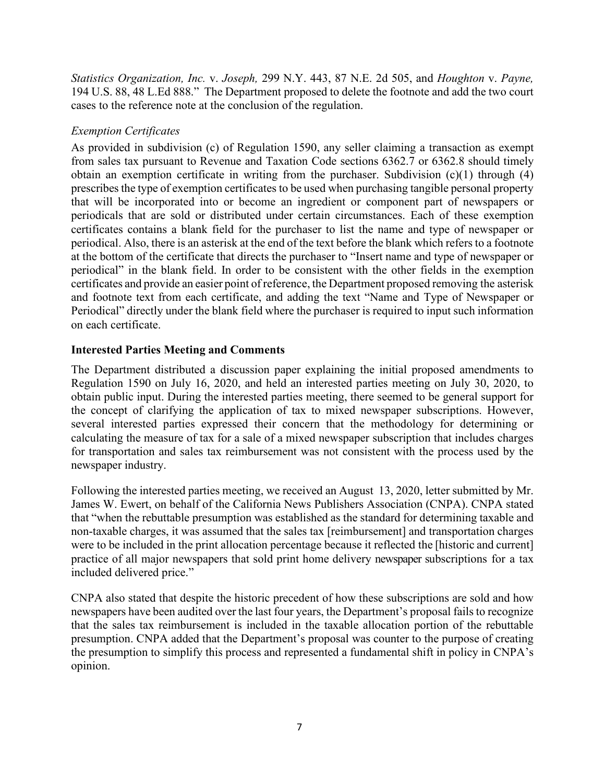*Statistics Organization, Inc.* v. *Joseph,* 299 N.Y. 443, 87 N.E. 2d 505, and *Houghton* v. *Payne,* 194 U.S. 88, 48 L.Ed 888." The Department proposed to delete the footnote and add the two court cases to the reference note at the conclusion of the regulation.

## *Exemption Certificates*

As provided in subdivision (c) of Regulation 1590, any seller claiming a transaction as exempt from sales tax pursuant to Revenue and Taxation Code sections 6362.7 or 6362.8 should timely obtain an exemption certificate in writing from the purchaser. Subdivision  $(c)(1)$  through  $(4)$ prescribes the type of exemption certificates to be used when purchasing tangible personal property that will be incorporated into or become an ingredient or component part of newspapers or periodicals that are sold or distributed under certain circumstances. Each of these exemption certificates contains a blank field for the purchaser to list the name and type of newspaper or periodical. Also, there is an asterisk at the end of the text before the blank which refers to a footnote at the bottom of the certificate that directs the purchaser to "Insert name and type of newspaper or periodical" in the blank field. In order to be consistent with the other fields in the exemption certificates and provide an easier point of reference, the Department proposed removing the asterisk and footnote text from each certificate, and adding the text "Name and Type of Newspaper or Periodical" directly under the blank field where the purchaser is required to input such information on each certificate.

## **Interested Parties Meeting and Comments**

The Department distributed a discussion paper explaining the initial proposed amendments to Regulation 1590 on July 16, 2020, and held an interested parties meeting on July 30, 2020, to obtain public input. During the interested parties meeting, there seemed to be general support for the concept of clarifying the application of tax to mixed newspaper subscriptions. However, several interested parties expressed their concern that the methodology for determining or calculating the measure of tax for a sale of a mixed newspaper subscription that includes charges for transportation and sales tax reimbursement was not consistent with the process used by the newspaper industry.

Following the interested parties meeting, we received an August 13, 2020, letter submitted by Mr. James W. Ewert, on behalf of the California News Publishers Association (CNPA). CNPA stated that "when the rebuttable presumption was established as the standard for determining taxable and non-taxable charges, it was assumed that the sales tax [reimbursement] and transportation charges were to be included in the print allocation percentage because it reflected the [historic and current] practice of all major newspapers that sold print home delivery newspaper subscriptions for a tax included delivered price."

CNPA also stated that despite the historic precedent of how these subscriptions are sold and how newspapers have been audited over the last four years, the Department's proposal fails to recognize that the sales tax reimbursement is included in the taxable allocation portion of the rebuttable presumption. CNPA added that the Department's proposal was counter to the purpose of creating the presumption to simplify this process and represented a fundamental shift in policy in CNPA's opinion.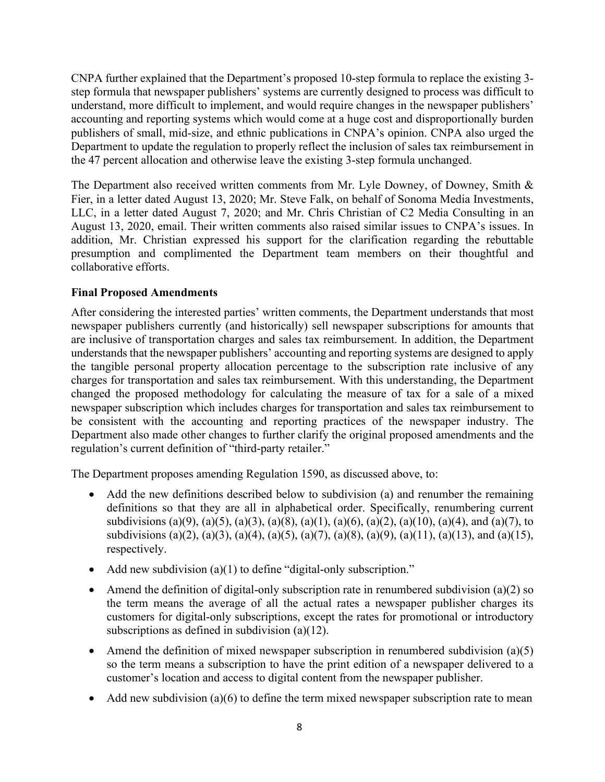CNPA further explained that the Department's proposed 10-step formula to replace the existing 3 step formula that newspaper publishers' systems are currently designed to process was difficult to understand, more difficult to implement, and would require changes in the newspaper publishers' accounting and reporting systems which would come at a huge cost and disproportionally burden publishers of small, mid-size, and ethnic publications in CNPA's opinion. CNPA also urged the Department to update the regulation to properly reflect the inclusion of sales tax reimbursement in the 47 percent allocation and otherwise leave the existing 3-step formula unchanged.

The Department also received written comments from Mr. Lyle Downey, of Downey, Smith & Fier, in a letter dated August 13, 2020; Mr. Steve Falk, on behalf of Sonoma Media Investments, LLC, in a letter dated August 7, 2020; and Mr. Chris Christian of C2 Media Consulting in an August 13, 2020, email. Their written comments also raised similar issues to CNPA's issues. In addition, Mr. Christian expressed his support for the clarification regarding the rebuttable presumption and complimented the Department team members on their thoughtful and collaborative efforts.

## **Final Proposed Amendments**

After considering the interested parties' written comments, the Department understands that most newspaper publishers currently (and historically) sell newspaper subscriptions for amounts that are inclusive of transportation charges and sales tax reimbursement. In addition, the Department understands that the newspaper publishers' accounting and reporting systems are designed to apply the tangible personal property allocation percentage to the subscription rate inclusive of any charges for transportation and sales tax reimbursement. With this understanding, the Department changed the proposed methodology for calculating the measure of tax for a sale of a mixed newspaper subscription which includes charges for transportation and sales tax reimbursement to be consistent with the accounting and reporting practices of the newspaper industry. The Department also made other changes to further clarify the original proposed amendments and the regulation's current definition of "third-party retailer."

The Department proposes amending Regulation 1590, as discussed above, to:

- Add the new definitions described below to subdivision (a) and renumber the remaining definitions so that they are all in alphabetical order. Specifically, renumbering current subdivisions (a)(9), (a)(5), (a)(3), (a)(8), (a)(1), (a)(6), (a)(2), (a)(10), (a)(4), and (a)(7), to subdivisions (a)(2), (a)(3), (a)(4), (a)(5), (a)(7), (a)(8), (a)(9), (a)(11), (a)(13), and (a)(15), respectively.
- Add new subdivision (a)(1) to define "digital-only subscription."
- Amend the definition of digital-only subscription rate in renumbered subdivision (a)(2) so the term means the average of all the actual rates a newspaper publisher charges its customers for digital-only subscriptions, except the rates for promotional or introductory subscriptions as defined in subdivision (a)(12).
- Amend the definition of mixed newspaper subscription in renumbered subdivision (a)(5) so the term means a subscription to have the print edition of a newspaper delivered to a customer's location and access to digital content from the newspaper publisher.
- Add new subdivision (a)(6) to define the term mixed newspaper subscription rate to mean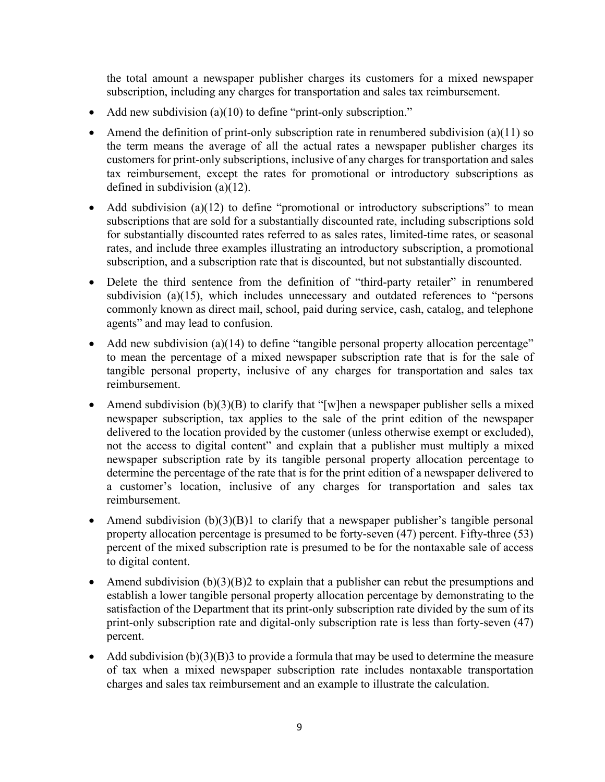the total amount a newspaper publisher charges its customers for a mixed newspaper subscription, including any charges for transportation and sales tax reimbursement.

- Add new subdivision (a)(10) to define "print-only subscription."
- Amend the definition of print-only subscription rate in renumbered subdivision (a)(11) so the term means the average of all the actual rates a newspaper publisher charges its customers for print-only subscriptions, inclusive of any charges for transportation and sales tax reimbursement, except the rates for promotional or introductory subscriptions as defined in subdivision (a)(12).
- Add subdivision (a)(12) to define "promotional or introductory subscriptions" to mean subscriptions that are sold for a substantially discounted rate, including subscriptions sold for substantially discounted rates referred to as sales rates, limited-time rates, or seasonal rates, and include three examples illustrating an introductory subscription, a promotional subscription, and a subscription rate that is discounted, but not substantially discounted.
- Delete the third sentence from the definition of "third-party retailer" in renumbered subdivision (a)(15), which includes unnecessary and outdated references to "persons commonly known as direct mail, school, paid during service, cash, catalog, and telephone agents" and may lead to confusion.
- Add new subdivision (a)(14) to define "tangible personal property allocation percentage" to mean the percentage of a mixed newspaper subscription rate that is for the sale of tangible personal property, inclusive of any charges for transportation and sales tax reimbursement.
- Amend subdivision  $(b)(3)(B)$  to clarify that "[w]hen a newspaper publisher sells a mixed newspaper subscription, tax applies to the sale of the print edition of the newspaper delivered to the location provided by the customer (unless otherwise exempt or excluded), not the access to digital content" and explain that a publisher must multiply a mixed newspaper subscription rate by its tangible personal property allocation percentage to determine the percentage of the rate that is for the print edition of a newspaper delivered to a customer's location, inclusive of any charges for transportation and sales tax reimbursement.
- Amend subdivision  $(b)(3)(B)$ 1 to clarify that a newspaper publisher's tangible personal property allocation percentage is presumed to be forty-seven (47) percent. Fifty-three (53) percent of the mixed subscription rate is presumed to be for the nontaxable sale of access to digital content.
- Amend subdivision  $(b)(3)(B)2$  to explain that a publisher can rebut the presumptions and establish a lower tangible personal property allocation percentage by demonstrating to the satisfaction of the Department that its print-only subscription rate divided by the sum of its print-only subscription rate and digital-only subscription rate is less than forty-seven (47) percent.
- Add subdivision  $(b)(3)(B)$ 3 to provide a formula that may be used to determine the measure of tax when a mixed newspaper subscription rate includes nontaxable transportation charges and sales tax reimbursement and an example to illustrate the calculation.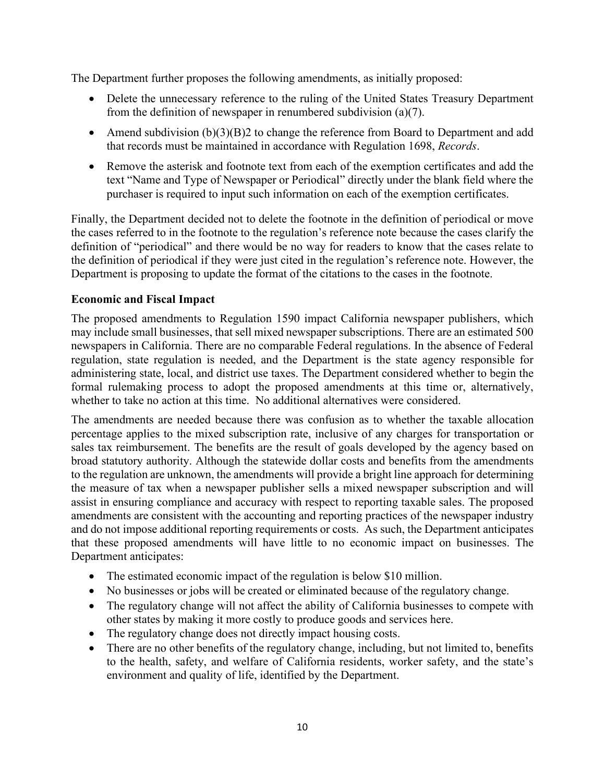The Department further proposes the following amendments, as initially proposed:

- Delete the unnecessary reference to the ruling of the United States Treasury Department from the definition of newspaper in renumbered subdivision (a)(7).
- Amend subdivision (b)(3)(B)2 to change the reference from Board to Department and add that records must be maintained in accordance with Regulation 1698, *Records*.
- Remove the asterisk and footnote text from each of the exemption certificates and add the text "Name and Type of Newspaper or Periodical" directly under the blank field where the purchaser is required to input such information on each of the exemption certificates.

Finally, the Department decided not to delete the footnote in the definition of periodical or move the cases referred to in the footnote to the regulation's reference note because the cases clarify the definition of "periodical" and there would be no way for readers to know that the cases relate to the definition of periodical if they were just cited in the regulation's reference note. However, the Department is proposing to update the format of the citations to the cases in the footnote.

#### **Economic and Fiscal Impact**

The proposed amendments to Regulation 1590 impact California newspaper publishers, which may include small businesses, that sell mixed newspaper subscriptions. There are an estimated 500 newspapers in California. There are no comparable Federal regulations. In the absence of Federal regulation, state regulation is needed, and the Department is the state agency responsible for administering state, local, and district use taxes. The Department considered whether to begin the formal rulemaking process to adopt the proposed amendments at this time or, alternatively, whether to take no action at this time. No additional alternatives were considered.

The amendments are needed because there was confusion as to whether the taxable allocation percentage applies to the mixed subscription rate, inclusive of any charges for transportation or sales tax reimbursement. The benefits are the result of goals developed by the agency based on broad statutory authority. Although the statewide dollar costs and benefits from the amendments to the regulation are unknown, the amendments will provide a bright line approach for determining the measure of tax when a newspaper publisher sells a mixed newspaper subscription and will assist in ensuring compliance and accuracy with respect to reporting taxable sales. The proposed amendments are consistent with the accounting and reporting practices of the newspaper industry and do not impose additional reporting requirements or costs. As such, the Department anticipates that these proposed amendments will have little to no economic impact on businesses. The Department anticipates:

- The estimated economic impact of the regulation is below \$10 million.
- No businesses or jobs will be created or eliminated because of the regulatory change.
- The regulatory change will not affect the ability of California businesses to compete with other states by making it more costly to produce goods and services here.
- The regulatory change does not directly impact housing costs.
- There are no other benefits of the regulatory change, including, but not limited to, benefits to the health, safety, and welfare of California residents, worker safety, and the state's environment and quality of life, identified by the Department.